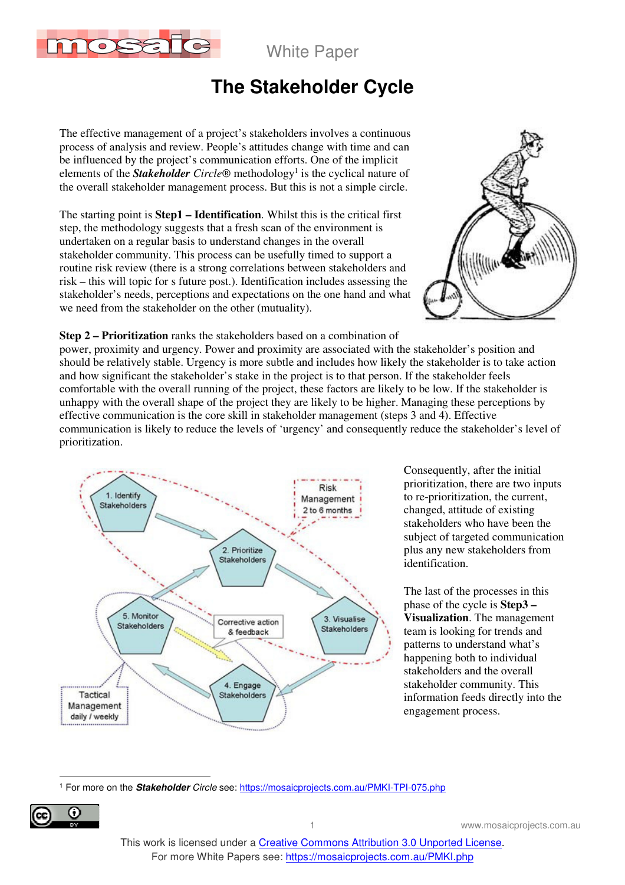

White Paper

## **The Stakeholder Cycle**

The effective management of a project's stakeholders involves a continuous process of analysis and review. People's attitudes change with time and can be influenced by the project's communication efforts. One of the implicit elements of the **Stakeholder** Circle® methodology<sup>1</sup> is the cyclical nature of the overall stakeholder management process. But this is not a simple circle.

The starting point is **Step1 – Identification**. Whilst this is the critical first step, the methodology suggests that a fresh scan of the environment is undertaken on a regular basis to understand changes in the overall stakeholder community. This process can be usefully timed to support a routine risk review (there is a strong correlations between stakeholders and risk – this will topic for s future post.). Identification includes assessing the stakeholder's needs, perceptions and expectations on the one hand and what we need from the stakeholder on the other (mutuality).



**Step 2 – Prioritization** ranks the stakeholders based on a combination of

power, proximity and urgency. Power and proximity are associated with the stakeholder's position and should be relatively stable. Urgency is more subtle and includes how likely the stakeholder is to take action and how significant the stakeholder's stake in the project is to that person. If the stakeholder feels comfortable with the overall running of the project, these factors are likely to be low. If the stakeholder is unhappy with the overall shape of the project they are likely to be higher. Managing these perceptions by effective communication is the core skill in stakeholder management (steps 3 and 4). Effective communication is likely to reduce the levels of 'urgency' and consequently reduce the stakeholder's level of prioritization.



Consequently, after the initial prioritization, there are two inputs to re-prioritization, the current, changed, attitude of existing stakeholders who have been the subject of targeted communication plus any new stakeholders from identification.

The last of the processes in this phase of the cycle is **Step3 – Visualization**. The management team is looking for trends and patterns to understand what's happening both to individual stakeholders and the overall stakeholder community. This information feeds directly into the engagement process.

 $\overline{a}$ <sup>1</sup> For more on the **Stakeholder** Circle see: https://mosaicprojects.com.au/PMKI-TPI-075.php



This work is licensed under a Creative Commons Attribution 3.0 Unported License. For more White Papers see: https://mosaicprojects.com.au/PMKI.php